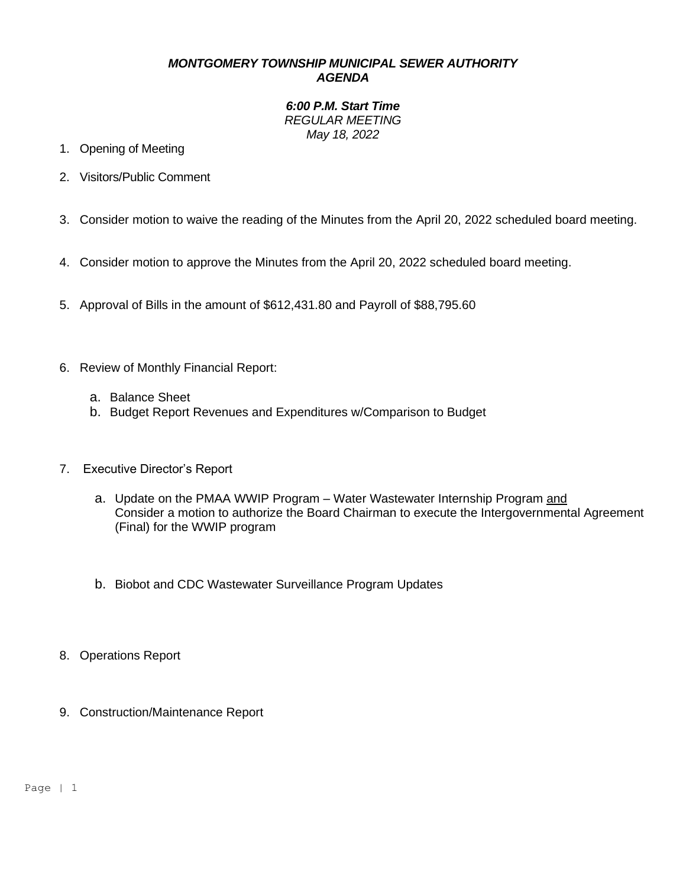## *MONTGOMERY TOWNSHIP MUNICIPAL SEWER AUTHORITY AGENDA*

*6:00 P.M. Start Time REGULAR MEETING May 18, 2022*

- 1. Opening of Meeting
- 2. Visitors/Public Comment
- 3. Consider motion to waive the reading of the Minutes from the April 20, 2022 scheduled board meeting.
- 4. Consider motion to approve the Minutes from the April 20, 2022 scheduled board meeting.
- 5. Approval of Bills in the amount of \$612,431.80 and Payroll of \$88,795.60
- 6. Review of Monthly Financial Report:
	- a. Balance Sheet
	- b. Budget Report Revenues and Expenditures w/Comparison to Budget
- 7. Executive Director's Report
	- a. Update on the PMAA WWIP Program Water Wastewater Internship Program and Consider a motion to authorize the Board Chairman to execute the Intergovernmental Agreement (Final) for the WWIP program
	- b. Biobot and CDC Wastewater Surveillance Program Updates
- 8. Operations Report
- 9. Construction/Maintenance Report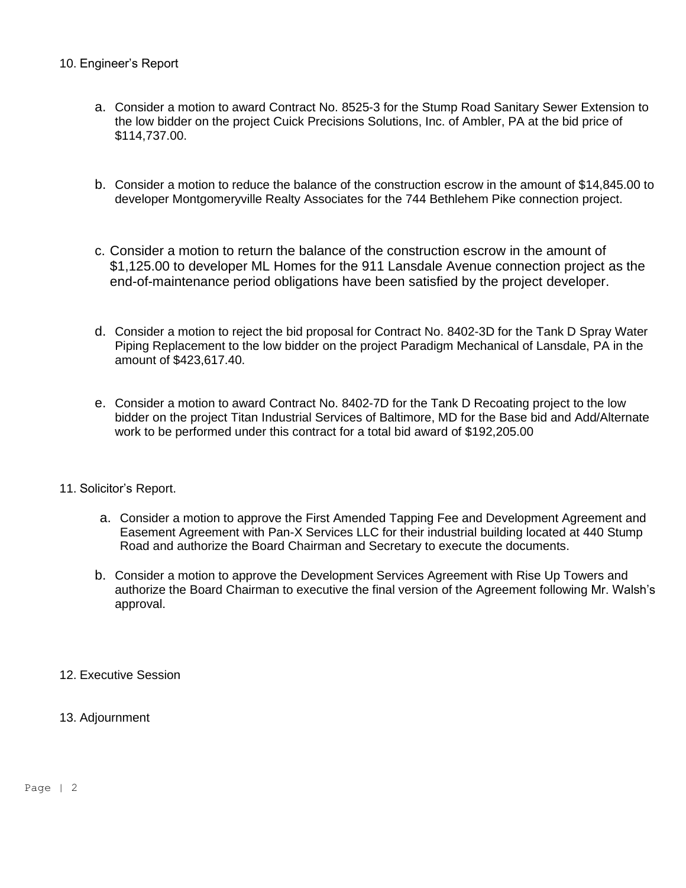## 10. Engineer's Report

- a. Consider a motion to award Contract No. 8525-3 for the Stump Road Sanitary Sewer Extension to the low bidder on the project Cuick Precisions Solutions, Inc. of Ambler, PA at the bid price of \$114,737.00.
- b. Consider a motion to reduce the balance of the construction escrow in the amount of \$14,845.00 to developer Montgomeryville Realty Associates for the 744 Bethlehem Pike connection project.
- c. Consider a motion to return the balance of the construction escrow in the amount of \$1,125.00 to developer ML Homes for the 911 Lansdale Avenue connection project as the end-of-maintenance period obligations have been satisfied by the project developer.
- d. Consider a motion to reject the bid proposal for Contract No. 8402-3D for the Tank D Spray Water Piping Replacement to the low bidder on the project Paradigm Mechanical of Lansdale, PA in the amount of \$423,617.40.
- e. Consider a motion to award Contract No. 8402-7D for the Tank D Recoating project to the low bidder on the project Titan Industrial Services of Baltimore, MD for the Base bid and Add/Alternate work to be performed under this contract for a total bid award of \$192,205.00
- 11. Solicitor's Report.
	- a. Consider a motion to approve the First Amended Tapping Fee and Development Agreement and Easement Agreement with Pan-X Services LLC for their industrial building located at 440 Stump Road and authorize the Board Chairman and Secretary to execute the documents.
	- b. Consider a motion to approve the Development Services Agreement with Rise Up Towers and authorize the Board Chairman to executive the final version of the Agreement following Mr. Walsh's approval.
- 12. Executive Session
- 13. Adjournment